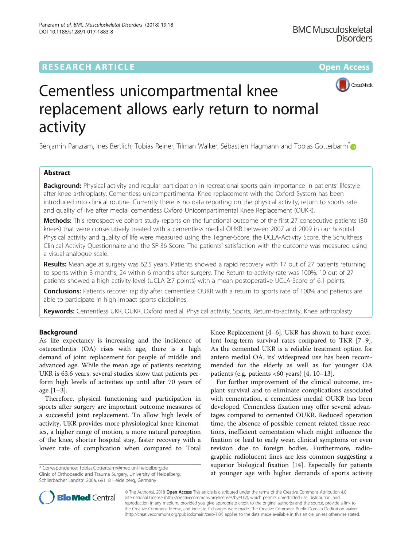

# Cementless unicompartmental knee replacement allows early return to normal activity

Benjamin Panzram, Ines Bertlich, Tobias Reiner, Tilman Walker, Sébastien Hagmann and Tobias Gotterbarm<sup>[\\*](http://orcid.org/0000-0002-3458-4951)</sup>

# Abstract

Background: Physical activity and regular participation in recreational sports gain importance in patients' lifestyle after knee arthroplasty. Cementless unicompartimental Knee replacement with the Oxford System has been introduced into clinical routine. Currently there is no data reporting on the physical activity, return to sports rate and quality of live after medial cementless Oxford Unicompartimental Knee Replacement (OUKR).

Methods: This retrospective cohort study reports on the functional outcome of the first 27 consecutive patients (30 knees) that were consecutively treated with a cementless medial OUKR between 2007 and 2009 in our hospital. Physical activity and quality of life were measured using the Tegner-Score, the UCLA-Activity Score, the Schulthess Clinical Activity Questionnaire and the SF-36 Score. The patients' satisfaction with the outcome was measured using a visual analogue scale.

Results: Mean age at surgery was 62.5 years. Patients showed a rapid recovery with 17 out of 27 patients returning to sports within 3 months, 24 within 6 months after surgery. The Return-to-activity-rate was 100%. 10 out of 27 patients showed a high activity level (UCLA ≥7 points) with a mean postoperative UCLA-Score of 6.1 points.

**Conclusions:** Patients recover rapidly after cementless OUKR with a return to sports rate of 100% and patients are able to participate in high impact sports disciplines.

Keywords: Cementless UKR, OUKR, Oxford medial, Physical activity, Sports, Return-to-activity, Knee arthroplasty

# Background

As life expectancy is increasing and the incidence of osteoarthritis (OA) rises with age, there is a high demand of joint replacement for people of middle and advanced age. While the mean age of patients receiving UKR is 63.6 years, several studies show that patients perform high levels of activities up until after 70 years of age [\[1](#page-5-0)–[3](#page-5-0)].

Therefore, physical functioning and participation in sports after surgery are important outcome measures of a successful joint replacement. To allow high levels of activity, UKR provides more physiological knee kinematics, a higher range of motion, a more natural perception of the knee, shorter hospital stay, faster recovery with a lower rate of complication when compared to Total

Clinic of Orthopaedic and Trauma Surgery, University of Heidelberg, Schlierbacher Landstr. 200a, 69118 Heidelberg, Germany

Knee Replacement [[4](#page-5-0)–[6](#page-5-0)]. UKR has shown to have excellent long-term survival rates compared to TKR [\[7](#page-5-0)–[9](#page-5-0)]. As the cemented UKR is a reliable treatment option for antero medial OA, its' widespread use has been recommended for the elderly as well as for younger OA patients (e.g. patients  $\langle 60 \rangle$  years) [[4](#page-5-0), [10](#page-5-0)–[13](#page-5-0)].

For further improvement of the clinical outcome, implant survival and to eliminate complications associated with cementation, a cementless medial OUKR has been developed. Cementless fixation may offer several advantages compared to cemented OUKR. Reduced operation time, the absence of possible cement related tissue reactions, inefficient cementation which might influence the fixation or lead to early wear, clinical symptoms or even revision due to foreign bodies. Furthermore, radiographic radiolucent lines are less common suggesting a superior biological fixation [[14](#page-5-0)]. Especially for patients torrespondence: [Tobias.Gotterbarm@med.uni-heidelberg.de](mailto:Tobias.Gotterbarm@med.uni-heidelberg.de) superior biological invarior  $\frac{1}{4}$ . Expectany ion particles (Inic of Orthopaedic and Trauma Surgery, University of Heidelberg. at younger age with higher demands



© The Author(s). 2018 Open Access This article is distributed under the terms of the Creative Commons Attribution 4.0 International License [\(http://creativecommons.org/licenses/by/4.0/](http://creativecommons.org/licenses/by/4.0/)), which permits unrestricted use, distribution, and reproduction in any medium, provided you give appropriate credit to the original author(s) and the source, provide a link to the Creative Commons license, and indicate if changes were made. The Creative Commons Public Domain Dedication waiver [\(http://creativecommons.org/publicdomain/zero/1.0/](http://creativecommons.org/publicdomain/zero/1.0/)) applies to the data made available in this article, unless otherwise stated.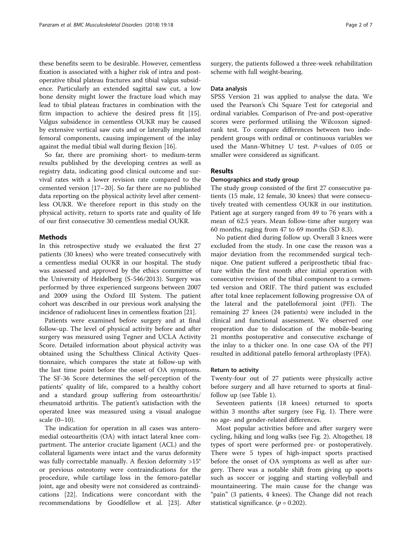these benefits seem to be desirable. However, cementless fixation is associated with a higher risk of intra and postoperative tibial plateau fractures and tibial valgus subsidence. Particularly an extended sagittal saw cut, a low bone density might lower the fracture load which may lead to tibial plateau fractures in combination with the firm impaction to achieve the desired press fit [\[15](#page-5-0)]. Valgus subsidence in cementless OUKR may be caused by extensive vertical saw cuts and or laterally implanted femoral components, causing impingement of the inlay against the medial tibial wall during flexion [\[16](#page-6-0)].

So far, there are promising short- to medium-term results published by the developing centres as well as registry data, indicating good clinical outcome and survival rates with a lower revision rate compared to the cemented version [\[17](#page-6-0)–[20\]](#page-6-0). So far there are no published data reporting on the physical activity level after cementless OUKR. We therefore report in this study on the physical activity, return to sports rate and quality of life of our first consecutive 30 cementless medial OUKR.

# **Methods**

In this retrospective study we evaluated the first 27 patients (30 knees) who were treated consecutively with a cementless medial OUKR in our hospital. The study was assessed and approved by the ethics committee of the University of Heidelberg (S-546/2013). Surgery was performed by three experienced surgeons between 2007 and 2009 using the Oxford III System. The patient cohort was described in our previous work analysing the incidence of radiolucent lines in cementless fixation [\[21\]](#page-6-0).

Patients were examined before surgery and at final follow-up. The level of physical activity before and after surgery was measured using Tegner and UCLA Activity Score. Detailed information about physical activity was obtained using the Schulthess Clinical Activity Questionnaire, which compares the state at follow-up with the last time point before the onset of OA symptoms. The SF-36 Score determines the self-perception of the patients' quality of life, compared to a healthy cohort and a standard group suffering from osteoarthritis/ rheumatoid arthritis. The patient's satisfaction with the operated knee was measured using a visual analogue scale  $(0-10)$ .

The indication for operation in all cases was anteromedial osteoarthritis (OA) with intact lateral knee compartment. The anterior cruciate ligament (ACL) and the collateral ligaments were intact and the varus deformity was fully correctable manually. A flexion deformity >15° or previous osteotomy were contraindications for the procedure, while cartilage loss in the femoro-patellar joint, age and obesity were not considered as contraindications [\[22\]](#page-6-0). Indications were concordant with the recommendations by Goodfellow et al. [\[23](#page-6-0)]. After surgery, the patients followed a three-week rehabilitation scheme with full weight-bearing.

# Data analysis

SPSS Version 21 was applied to analyse the data. We used the Pearson's Chi Square Test for categorial and ordinal variables. Comparison of Pre-and post-operative scores were performed utilising the Wilcoxon signedrank test. To compare differences between two independent groups with ordinal or continuous variables we used the Mann-Whitney U test. P-values of 0.05 or smaller were considered as significant.

# Results

# Demographics and study group

The study group consisted of the first 27 consecutive patients (15 male, 12 female, 30 knees) that were consecutively treated with cementless OUKR in our institution. Patient age at surgery ranged from 49 to 76 years with a mean of 62.5 years. Mean follow-time after surgery was 60 months, raging from 47 to 69 months (SD 8.3).

No patient died during follow up. Overall 3 knees were excluded from the study. In one case the reason was a major deviation from the recommended surgical technique. One patient suffered a periprosthetic tibial fracture within the first month after initial operation with consecutive revision of the tibial component to a cemented version and ORIF. The third patient was excluded after total knee replacement following progressive OA of the lateral and the patellofemoral joint (PFJ). The remaining 27 knees (24 patients) were included in the clinical and functional assessment. We observed one reoperation due to dislocation of the mobile-bearing 21 months postoperative and consecutive exchange of the inlay to a thicker one. In one case OA of the PFJ resulted in additional patello femoral arthroplasty (PFA).

# Return to activity

Twenty-four out of 27 patients were physically active before surgery and all have returned to sports at finalfollow up (see Table [1](#page-2-0)).

Seventeen patients (18 knees) returned to sports within 3 months after surgery (see Fig. [1\)](#page-2-0). There were no age- and gender-related differences.

Most popular activities before and after surgery were cycling, hiking and long walks (see Fig. [2\)](#page-3-0). Altogether, 18 types of sport were performed pre- or postoperatively. There were 5 types of high-impact sports practised before the onset of OA symptoms as well as after surgery. There was a notable shift from giving up sports such as soccer or jogging and starting volleyball and mountaineering. The main cause for the change was "pain" (3 patients, 4 knees). The Change did not reach statistical significance.  $(p = 0.202)$ .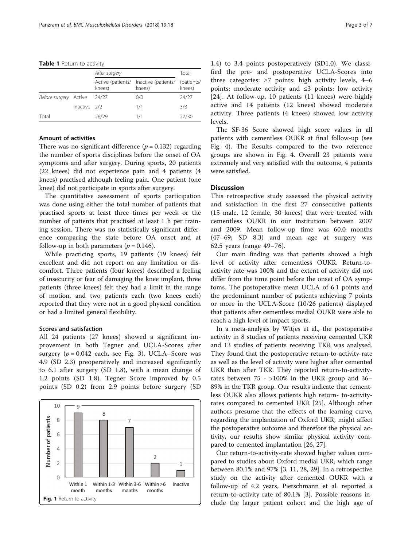<span id="page-2-0"></span>Table 1 Return to activity

|                       |              | After surgery |                                                            | Total  |
|-----------------------|--------------|---------------|------------------------------------------------------------|--------|
|                       |              | knees)        | Active (patients/ Inactive (patients/ (patients/<br>knees) | knees) |
| Before surgery Active |              | 24/27         | 0/0                                                        | 24/27  |
|                       | Inactive 2/2 |               | 1/1                                                        | 3/3    |
| Total                 |              | 26/29         | 1/1                                                        | 27/30  |

# Amount of activities

There was no significant difference ( $p = 0.132$ ) regarding the number of sports disciplines before the onset of OA symptoms and after surgery. During sports, 20 patients (22 knees) did not experience pain and 4 patients (4 knees) practised although feeling pain. One patient (one knee) did not participate in sports after surgery.

The quantitative assessment of sports participation was done using either the total number of patients that practised sports at least three times per week or the number of patients that practised at least 1 h per training session. There was no statistically significant difference comparing the state before OA onset and at follow-up in both parameters ( $p = 0.146$ ).

While practicing sports, 19 patients (19 knees) felt excellent and did not report on any limitation or discomfort. Three patients (four knees) described a feeling of insecurity or fear of damaging the knee implant, three patients (three knees) felt they had a limit in the range of motion, and two patients each (two knees each) reported that they were not in a good physical condition or had a limited general flexibility.

# Scores and satisfaction

All 24 patients (27 knees) showed a significant improvement in both Tegner and UCLA-Scores after surgery ( $p = 0.042$  each, see Fig. [3](#page-3-0)). UCLA–Score was 4.9 (SD 2.3) preoperatively and increased significantly to 6.1 after surgery (SD 1.8), with a mean change of 1.2 points (SD 1.8). Tegner Score improved by 0.5 points (SD 0.2) from 2.9 points before surgery (SD



1.4) to 3.4 points postoperatively (SD1.0). We classified the pre- and postoperative UCLA-Scores into three categories:  $\geq 7$  points: high activity levels, 4–6 points: moderate activity and ≤3 points: low activity [[24](#page-6-0)]. At follow-up, 10 patients (11 knees) were highly active and 14 patients (12 knees) showed moderate activity. Three patients (4 knees) showed low activity levels.

The SF-36 Score showed high score values in all patients with cementless OUKR at final follow-up (see Fig. [4](#page-4-0)). The Results compared to the two reference groups are shown in Fig. [4.](#page-4-0) Overall 23 patients were extremely and very satisfied with the outcome, 4 patients were satisfied.

# **Discussion**

This retrospective study assessed the physical activity and satisfaction in the first 27 consecutive patients (15 male, 12 female, 30 knees) that were treated with cementless OUKR in our institution between 2007 and 2009. Mean follow-up time was 60.0 months (47–69; SD 8.3) and mean age at surgery was 62.5 years (range 49–76).

Our main finding was that patients showed a high level of activity after cementless OUKR. Return-toactivity rate was 100% and the extent of activity did not differ from the time point before the onset of OA symptoms. The postoperative mean UCLA of 6.1 points and the predominant number of patients achieving 7 points or more in the UCLA-Score (10/26 patients) displayed that patients after cementless medial OUKR were able to reach a high level of impact sports.

In a meta-analysis by Witjes et al., the postoperative activity in 8 studies of patients receiving cemented UKR and 13 studies of patients receiving TKR was analysed. They found that the postoperative return-to-activity-rate as well as the level of activity were higher after cemented UKR than after TKR. They reported return-to-activityrates between 75 - >100% in the UKR group and 36– 89% in the TKR group. Our results indicate that cementless OUKR also allows patients high return- to-activityrates compared to cemented UKR [\[25](#page-6-0)]. Although other authors presume that the effects of the learning curve, regarding the implantation of Oxford UKR, might affect the postoperative outcome and therefore the physical activity, our results show similar physical activity compared to cemented implantation [[26](#page-6-0), [27](#page-6-0)].

Our return-to-activity-rate showed higher values compared to studies about Oxford medial UKR, which range between 80.1% and 97% [[3, 11,](#page-5-0) [28, 29\]](#page-6-0). In a retrospective study on the activity after cemented OUKR with a follow-up of 4.2 years, Pietschmann et al. reported a return-to-activity rate of 80.1% [\[3](#page-5-0)]. Possible reasons include the larger patient cohort and the high age of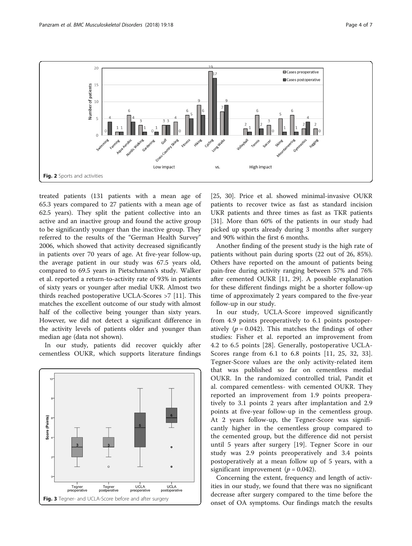<span id="page-3-0"></span>

treated patients (131 patients with a mean age of 65.3 years compared to 27 patients with a mean age of 62.5 years). They split the patient collective into an active and an inactive group and found the active group to be significantly younger than the inactive group. They referred to the results of the "German Health Survey" 2006, which showed that activity decreased significantly in patients over 70 years of age. At five-year follow-up, the average patient in our study was 67.5 years old, compared to 69.5 years in Pietschmann's study. Walker et al. reported a return-to-activity rate of 93% in patients of sixty years or younger after medial UKR. Almost two thirds reached postoperative UCLA-Scores >7 [[11\]](#page-5-0). This matches the excellent outcome of our study with almost half of the collective being younger than sixty years. However, we did not detect a significant difference in the activity levels of patients older and younger than median age (data not shown).

In our study, patients did recover quickly after cementless OUKR, which supports literature findings



[[25, 30](#page-6-0)]. Price et al. showed minimal-invasive OUKR patients to recover twice as fast as standard incision UKR patients and three times as fast as TKR patients [[31\]](#page-6-0). More than 60% of the patients in our study had picked up sports already during 3 months after surgery and 90% within the first 6 months.

Another finding of the present study is the high rate of patients without pain during sports (22 out of 26, 85%). Others have reported on the amount of patients being pain-free during activity ranging between 57% and 76% after cemented OUKR [[11,](#page-5-0) [29\]](#page-6-0). A possible explanation for these different findings might be a shorter follow-up time of approximately 2 years compared to the five-year follow-up in our study.

In our study, UCLA-Score improved significantly from 4.9 points preoperatively to 6.1 points postoperatively ( $p = 0.042$ ). This matches the findings of other studies: Fisher et al. reported an improvement from 4.2 to 6.5 points [[28\]](#page-6-0). Generally, postoperative UCLA-Scores range from 6.1 to 6.8 points [[11,](#page-5-0) [25, 32](#page-6-0), [33](#page-6-0)]. Tegner-Score values are the only activity-related item that was published so far on cementless medial OUKR. In the randomized controlled trial, Pandit et al. compared cementless- with cemented OUKR. They reported an improvement from 1.9 points preoperatively to 3.1 points 2 years after implantation and 2.9 points at five-year follow-up in the cementless group. At 2 years follow-up, the Tegner-Score was significantly higher in the cementless group compared to the cemented group, but the difference did not persist until 5 years after surgery [[19\]](#page-6-0). Tegner Score in our study was 2.9 points preoperatively and 3.4 points postoperatively at a mean follow up of 5 years, with a significant improvement ( $p = 0.042$ ).

Concerning the extent, frequency and length of activities in our study, we found that there was no significant decrease after surgery compared to the time before the onset of OA symptoms. Our findings match the results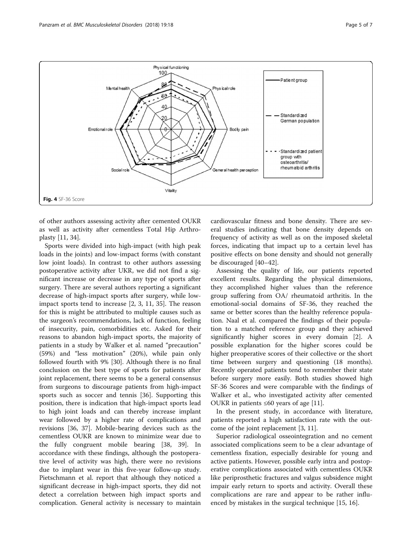<span id="page-4-0"></span>

of other authors assessing activity after cemented OUKR as well as activity after cementless Total Hip Arthroplasty [\[11](#page-5-0), [34](#page-6-0)].

Sports were divided into high-impact (with high peak loads in the joints) and low-impact forms (with constant low joint loads). In contrast to other authors assessing postoperative activity after UKR, we did not find a significant increase or decrease in any type of sports after surgery. There are several authors reporting a significant decrease of high-impact sports after surgery, while lowimpact sports tend to increase [\[2](#page-5-0), [3, 11](#page-5-0), [35](#page-6-0)]. The reason for this is might be attributed to multiple causes such as the surgeon's recommendations, lack of function, feeling of insecurity, pain, comorbidities etc. Asked for their reasons to abandon high-impact sports, the majority of patients in a study by Walker et al. named "precaution" (59%) and "less motivation" (20%), while pain only followed fourth with 9% [[30\]](#page-6-0). Although there is no final conclusion on the best type of sports for patients after joint replacement, there seems to be a general consensus from surgeons to discourage patients from high-impact sports such as soccer and tennis [[36\]](#page-6-0). Supporting this position, there is indication that high-impact sports lead to high joint loads and can thereby increase implant wear followed by a higher rate of complications and revisions [[36, 37\]](#page-6-0). Mobile-bearing devices such as the cementless OUKR are known to minimize wear due to the fully congruent mobile bearing [\[38](#page-6-0), [39](#page-6-0)]. In accordance with these findings, although the postoperative level of activity was high, there were no revisions due to implant wear in this five-year follow-up study. Pietschmann et al. report that although they noticed a significant decrease in high-impact sports, they did not detect a correlation between high impact sports and complication. General activity is necessary to maintain

cardiovascular fitness and bone density. There are several studies indicating that bone density depends on frequency of activity as well as on the imposed skeletal forces, indicating that impact up to a certain level has positive effects on bone density and should not generally be discouraged [\[40](#page-6-0)–[42\]](#page-6-0).

Assessing the quality of life, our patients reported excellent results. Regarding the physical dimensions, they accomplished higher values than the reference group suffering from OA/ rheumatoid arthritis. In the emotional-social domains of SF-36, they reached the same or better scores than the healthy reference population. Naal et al. compared the findings of their population to a matched reference group and they achieved significantly higher scores in every domain [[2\]](#page-5-0). A possible explanation for the higher scores could be higher preoperative scores of their collective or the short time between surgery and questioning (18 months). Recently operated patients tend to remember their state before surgery more easily. Both studies showed high SF-36 Scores and were comparable with the findings of Walker et al., who investigated activity after cemented OUKR in patients  $\leq 60$  years of age [\[11](#page-5-0)].

In the present study, in accordance with literature, patients reported a high satisfaction rate with the outcome of the joint replacement [\[3](#page-5-0), [11](#page-5-0)].

Superior radiological osseointegration and no cement associated complications seem to be a clear advantage of cementless fixation, especially desirable for young and active patients. However, possible early intra and postoperative complications associated with cementless OUKR like periprosthetic fractures and valgus subsidence might impair early return to sports and activity. Overall these complications are rare and appear to be rather influenced by mistakes in the surgical technique [[15](#page-5-0), [16](#page-6-0)].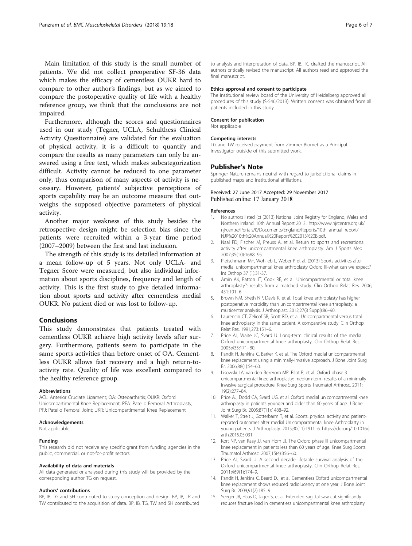<span id="page-5-0"></span>Main limitation of this study is the small number of patients. We did not collect preoperative SF-36 data which makes the efficacy of cementless OUKR hard to compare to other author's findings, but as we aimed to compare the postoperative quality of life with a healthy reference group, we think that the conclusions are not impaired.

Furthermore, although the scores and questionnaires used in our study (Tegner, UCLA, Schulthess Clinical Activity Questionnaire) are validated for the evaluation of physical activity, it is a difficult to quantify and compare the results as many parameters can only be answered using a free text, which makes subcategorization difficult. Activity cannot be reduced to one parameter only, thus comparison of many aspects of activity is necessary. However, patients' subjective perceptions of sports capability may be an outcome measure that outweighs the supposed objective parameters of physical activity.

Another major weakness of this study besides the retrospective design might be selection bias since the patients were recruited within a 3-year time period (2007–2009) between the first and last inclusion.

The strength of this study is its detailed information at a mean follow-up of 5 years. Not only UCLA- and Tegner Score were measured, but also individual information about sports disciplines, frequency and length of activity. This is the first study to give detailed information about sports and activity after cementless medial OUKR. No patient died or was lost to follow-up.

# Conclusions

This study demonstrates that patients treated with cementless OUKR achieve high activity levels after surgery. Furthermore, patients seem to participate in the same sports activities than before onset of OA. Cementless OUKR allows fast recovery and a high return-toactivity rate. Quality of life was excellent compared to the healthy reference group.

#### Abbreviations

ACL: Anterior Cruciate Ligament; OA: Osteoarthritis; OUKR: Oxford Unicompartimental Knee Replacement; PFA: Patello Femoral Arthroplasty; PFJ: Patello Femoral Joint; UKR: Unicompartimental Knee Replacement

#### Acknowledgements

Not applicable

#### Funding

This research did not receive any specific grant from funding agencies in the public, commercial, or not-for-profit sectors.

## Availability of data and materials

All data generated or analysed during this study will be provided by the corresponding author TG on request.

#### Authors' contributions

BP, IB, TG and SH contributed to study conception and design. BP, IB, TR and TW contributed to the acquisition of data. BP, IB, TG, TW and SH contributed

to analysis and interpretation of data. BP, IB, TG drafted the manuscript. All authors critically revised the manuscript. All authors read and approved the final manuscript.

#### Ethics approval and consent to participate

The institutional review board of the University of Heidelberg approved all procedures of this study (S-546/2013). Written consent was obtained from all patients included in this study.

#### Consent for publication

Not applicable

# Competing interests

TG and TW received payment from Zimmer Biomet as a Principal Investigator outside of this submitted work.

### Publisher's Note

Springer Nature remains neutral with regard to jurisdictional claims in published maps and institutional affiliations.

# Received: 27 June 2017 Accepted: 29 November 2017 Published online: 17 January 2018

#### References

- 1. No authors listed (c) (2013) National Joint Registry for England, Wales and Northern Ireland: 10th Annual Report 2013.. [http://www.njrcentre.org.uk/](http://www.njrcentre.org.uk/njrcentre/Portals/0/Documents/England/Reports/10th_annual_report/NJR%2010th%20Annual%20Report%202013%20B.pdf) [njrcentre/Portals/0/Documents/England/Reports/10th\\_annual\\_report/](http://www.njrcentre.org.uk/njrcentre/Portals/0/Documents/England/Reports/10th_annual_report/NJR%2010th%20Annual%20Report%202013%20B.pdf) [NJR%2010th%20Annual%20Report%202013%20B.pdf](http://www.njrcentre.org.uk/njrcentre/Portals/0/Documents/England/Reports/10th_annual_report/NJR%2010th%20Annual%20Report%202013%20B.pdf).
- 2. Naal FD, Fischer M, Preuss A, et al. Return to sports and recreational activity after unicompartmental knee arthroplasty. Am J Sports Med. 2007;35(10):1688–95.
- 3. Pietschmann MF, Wohlleb L, Weber P et al. (2013) Sports activities after medial unicompartmental knee arthroplasty Oxford III-what can we expect? Int Orthop 37 (1):31-37.
- 4. Amin AK, Patton JT, Cook RE, et al. Unicompartmental or total knee arthroplasty?: results from a matched study. Clin Orthop Relat Res. 2006; 451:101–6.
- 5. Brown NM, Sheth NP, Davis K, et al. Total knee arthroplasty has higher postoperative morbidity than unicompartmental knee arthroplasty: a multicenter analysis. J Arthroplast. 2012;27(8 Suppl):86–90.
- 6. Laurencin CT, Zelicof SB, Scott RD, et al. Unicompartmental versus total knee arthroplasty in the same patient. A comparative study. Clin Orthop Relat Res. 1991;273:151–6.
- 7. Price AJ, Waite JC, Svard U. Long-term clinical results of the medial Oxford unicompartmental knee arthroplasty. Clin Orthop Relat Res. 2005;435:171–80.
- 8. Pandit H, Jenkins C, Barker K, et al. The Oxford medial unicompartmental knee replacement using a minimally-invasive approach. J Bone Joint Surg Br. 2006;88(1):54–60.
- 9. Lisowski LA, van den Bekerom MP, Pilot P, et al. Oxford phase 3 unicompartmental knee arthroplasty: medium-term results of a minimally invasive surgical procedure. Knee Surg Sports Traumatol Arthrosc. 2011; 19(2):277–84.
- 10. Price AJ, Dodd CA, Svard UG, et al. Oxford medial unicompartmental knee arthroplasty in patients younger and older than 60 years of age. J Bone Joint Surg Br. 2005;87(11):1488–92.
- 11. Walker T, Streit J, Gotterbarm T, et al. Sports, physical activity and patientreported outcomes after medial Unicompartmental knee Arthroplasty in young patients. J Arthroplasty. 2015;30(11):1911–6. [https://doi.org/10.1016/j.](http://dx.doi.org/10.1016/j.arth.2015.05.031) [arth.2015.05.031](http://dx.doi.org/10.1016/j.arth.2015.05.031).
- 12. Kort NP, van Raay JJ, van Horn JJ. The Oxford phase III unicompartmental knee replacement in patients less than 60 years of age. Knee Surg Sports Traumatol Arthrosc. 2007;15(4):356–60.
- 13. Price AJ, Svard U. A second decade lifetable survival analysis of the Oxford unicompartmental knee arthroplasty. Clin Orthop Relat Res. 2011;469(1):174–9.
- 14. Pandit H, Jenkins C, Beard DJ, et al. Cementless Oxford unicompartmental knee replacement shows reduced radiolucency at one year. J Bone Joint Surg Br. 2009;91(2):185–9.
- 15. Seeger JB, Haas D, Jager S, et al. Extended sagittal saw cut significantly reduces fracture load in cementless unicompartmental knee arthroplasty